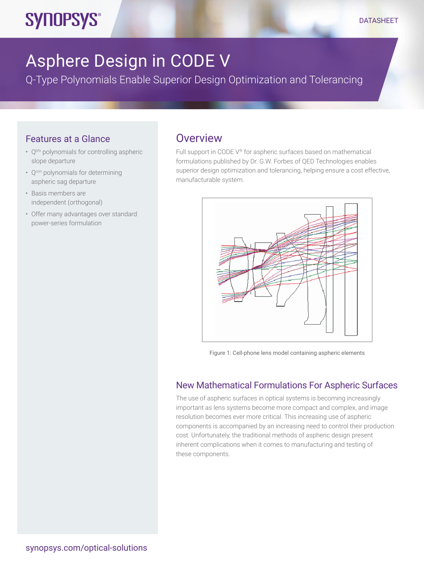# Asphere Design in CODE V

Q-Type Polynomials Enable Superior Design Optimization and Tolerancing

## Features at a Glance

**SYNOPSYS®** 

- Q<sup>bfs</sup> polynomials for controlling aspheric slope departure
- Q<sup>con</sup> polynomials for determining aspheric sag departure
- Basis members are independent (orthogonal)
- Offer many advantages over standard power-series formulation

## **Overview**

Full support in CODE V® for aspheric surfaces based on mathematical formulations published by Dr. G.W. Forbes of QED Technologies enables superior design optimization and tolerancing, helping ensure a cost effective, manufacturable system.



Figure 1: Cell-phone lens model containing aspheric elements

## New Mathematical Formulations For Aspheric Surfaces

The use of aspheric surfaces in optical systems is becoming increasingly important as lens systems become more compact and complex, and image resolution becomes ever more critical. This increasing use of aspheric components is accompanied by an increasing need to control their production cost. Unfortunately, the traditional methods of aspheric design present inherent complications when it comes to manufacturing and testing of these components.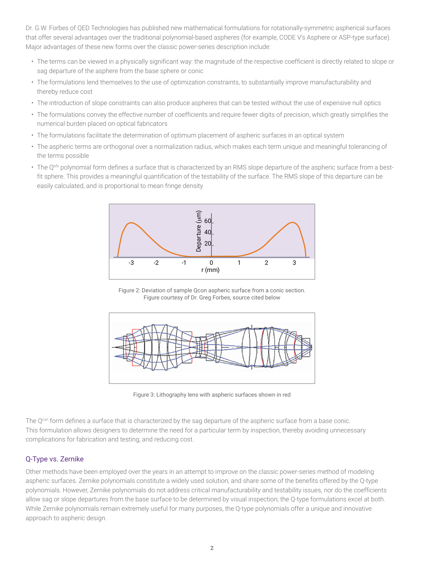Dr. G.W. Forbes of QED Technologies has published new mathematical formulations for rotationally-symmetric aspherical surfaces that offer several advantages over the traditional polynomial-based aspheres (for example, CODE V's Asphere or ASP-type surface). Major advantages of these new forms over the classic power-series description include:

- The terms can be viewed in a physically significant way: the magnitude of the respective coefficient is directly related to slope or sag departure of the asphere from the base sphere or conic
- The formulations lend themselves to the use of optimization constraints, to substantially improve manufacturability and thereby reduce cost
- The introduction of slope constraints can also produce aspheres that can be tested without the use of expensive null optics
- The formulations convey the effective number of coefficients and require fewer digits of precision, which greatly simplifies the numerical burden placed on optical fabricators
- The formulations facilitate the determination of optimum placement of aspheric surfaces in an optical system
- The aspheric terms are orthogonal over a normalization radius, which makes each term unique and meaningful tolerancing of the terms possible
- The Q<sup>bfs</sup> polynomial form defines a surface that is characterized by an RMS slope departure of the aspheric surface from a bestfit sphere. This provides a meaningful quantification of the testability of the surface. The RMS slope of this departure can be easily calculated, and is proportional to mean fringe density



Figure 2: Deviation of sample Qcon aspheric surface from a conic section. Figure courtesy of Dr. Greg Forbes, source cited below



Figure 3: Lithography lens with aspheric surfaces shown in red

The Q<sup>con</sup> form defines a surface that is characterized by the sag departure of the aspheric surface from a base conic. This formulation allows designers to determine the need for a particular term by inspection, thereby avoiding unnecessary complications for fabrication and testing, and reducing cost.

### Q-Type vs. Zernike

Other methods have been employed over the years in an attempt to improve on the classic power-series method of modeling aspheric surfaces. Zernike polynomials constitute a widely used solution, and share some of the benefits offered by the Q-type polynomials. However, Zernike polynomials do not address critical manufacturability and testability issues, nor do the coefficients allow sag or slope departures from the base surface to be determined by visual inspection; the Q-type formulations excel at both. While Zernike polynomials remain extremely useful for many purposes, the Q-type polynomials offer a unique and innovative approach to aspheric design.